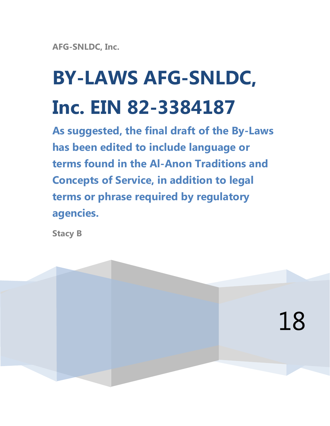**AFG-SNLDC, Inc.**

# **BY-LAWS AFG-SNLDC, Inc. EIN 82-3384187**

**As suggested, the final draft of the By-Laws has been edited to include language or terms found in the Al-Anon Traditions and Concepts of Service, in addition to legal terms or phrase required by regulatory agencies.** 

**Stacy B**

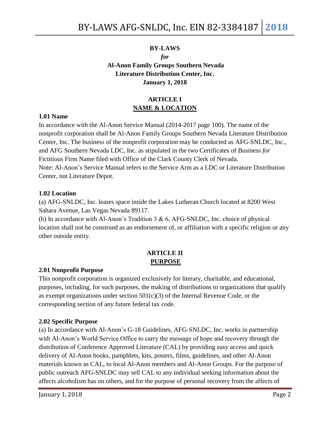# **BY-LAWS** *for* **Al-Anon Family Groups Southern Nevada Literature Distribution Center, Inc. January 1, 2018**

# **ARTICLE I NAME & LOCATION**

### **1.01 Name**

In accordance with the Al-Anon Service Manual (2014-2017 page 100). The name of the nonprofit corporation shall be Al-Anon Family Groups Southern Nevada Literature Distribution Center, Inc. The business of the nonprofit corporation may be conducted as AFG-SNLDC, Inc., and AFG Southern Nevada LDC, Inc. as stipulated in the two Certificates of Business *for* Fictitious Firm Name filed with Office of the Clark County Clerk of Nevada. Note: Al-Anon's Service Manual refers to the Service Arm as a LDC or Literature Distribution Center, not Literature Depot.

### **1.02 Location**

(a) AFG-SNLDC, Inc. leases space inside the Lakes Lutheran Church located at 8200 West Sahara Avenue, Las Vegas Nevada 89117.

(b) In accordance with Al-Anon's Tradition 3 & 6, AFG-SNLDC, Inc. choice of physical location shall not be construed as an endorsement of, or affiliation with a specific religion or any other outside entity.

## **ARTICLE II PURPOSE**

#### **2.01 Nonprofit Purpose**

This nonprofit corporation is organized exclusively for literary, charitable, and educational, purposes, including, for such purposes, the making of distributions to organizations that qualify as exempt organizations under section 501(c)(3) of the Internal Revenue Code, or the corresponding section of any future federal tax code.

## **2.02 Specific Purpose**

(a) In accordance with Al-Anon's G-18 Guidelines, AFG-SNLDC, Inc. works in partnership with Al-Anon's World Service Office to carry the message of hope and recovery through the distribution of Conference Approved Literature (CAL) by providing easy access and quick delivery of Al-Anon books, pamphlets, kits, posters, films, guidelines, and other Al-Anon materials known as CAL, to local Al-Anon members and Al-Anon Groups. For the purpose of public outreach AFG-SNLDC may sell CAL to any individual seeking information about the affects alcoholism has on others, and for the purpose of personal recovery from the affects of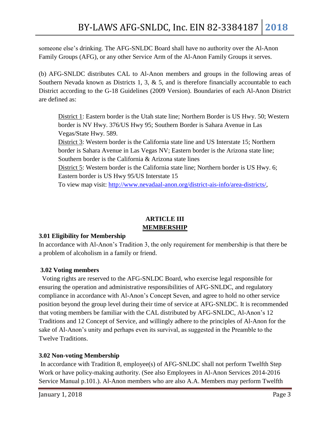someone else's drinking. The AFG-SNLDC Board shall have no authority over the Al-Anon Family Groups (AFG), or any other Service Arm of the Al-Anon Family Groups it serves.

(b) AFG-SNLDC distributes CAL to Al-Anon members and groups in the following areas of Southern Nevada known as Districts 1, 3,  $\&$  5, and is therefore financially accountable to each District according to the G-18 Guidelines (2009 Version). Boundaries of each Al-Anon District are defined as:

District 1: Eastern border is the Utah state line; Northern Border is US Hwy. 50; Western border is NV Hwy. 376/US Hwy 95; Southern Border is Sahara Avenue in Las Vegas/State Hwy. 589.

District 3: Western border is the California state line and US Interstate 15; Northern border is Sahara Avenue in Las Vegas NV; Eastern border is the Arizona state line; Southern border is the California & Arizona state lines

District 5: Western border is the California state line; Northern border is US Hwy. 6; Eastern border is US Hwy 95/US Interstate 15

To view map visit: [http://www.nevadaal-anon.org/district-ais-info/area-districts/,](http://www.nevadaal-anon.org/district-ais-info/area-districts/)

# **ARTICLE III MEMBERSHIP**

## **3.01 Eligibility for Membership**

In accordance with Al-Anon's Tradition 3, the only requirement for membership is that there be a problem of alcoholism in a family or friend.

# **3.02 Voting members**

Voting rights are reserved to the AFG-SNLDC Board, who exercise legal responsible for ensuring the operation and administrative responsibilities of AFG-SNLDC, and regulatory compliance in accordance with Al-Anon's Concept Seven, and agree to hold no other service position beyond the group level during their time of service at AFG-SNLDC. It is recommended that voting members be familiar with the CAL distributed by AFG-SNLDC, Al-Anon's 12 Traditions and 12 Concept of Service, and willingly adhere to the principles of Al-Anon for the sake of Al-Anon's unity and perhaps even its survival, as suggested in the Preamble to the Twelve Traditions.

# **3.02 Non-voting Membership**

In accordance with Tradition 8, employee(s) of AFG-SNLDC shall not perform Twelfth Step Work or have policy-making authority. (See also Employees in Al-Anon Services 2014-2016 Service Manual p.101.). Al-Anon members who are also A.A. Members may perform Twelfth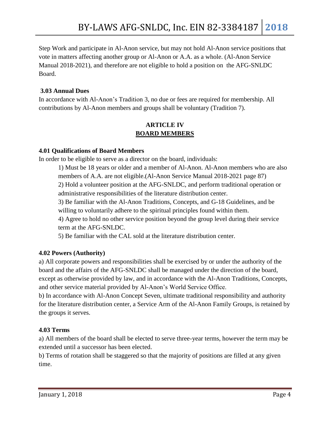Step Work and participate in Al-Anon service, but may not hold Al-Anon service positions that vote in matters affecting another group or Al-Anon or A.A. as a whole. (Al-Anon Service Manual 2018-2021), and therefore are not eligible to hold a position on the AFG-SNLDC Board.

## **3.03 Annual Dues**

In accordance with Al-Anon's Tradition 3, no due or fees are required for membership. All contributions by Al-Anon members and groups shall be voluntary (Tradition 7).

# **ARTICLE IV BOARD MEMBERS**

## **4.01 Qualifications of Board Members**

In order to be eligible to serve as a director on the board, individuals:

1) Must be 18 years or older and a member of Al-Anon. Al-Anon members who are also members of A.A. are not eligible.(Al-Anon Service Manual 2018-2021 page 87) 2) Hold a volunteer position at the AFG-SNLDC, and perform traditional operation or administrative responsibilities of the literature distribution center.

3) Be familiar with the Al-Anon Traditions, Concepts, and G-18 Guidelines, and be willing to voluntarily adhere to the spiritual principles found within them.

4) Agree to hold no other service position beyond the group level during their service term at the AFG-SNLDC.

5) Be familiar with the CAL sold at the literature distribution center.

# **4.02 Powers (Authority)**

a) All corporate powers and responsibilities shall be exercised by or under the authority of the board and the affairs of the AFG-SNLDC shall be managed under the direction of the board, except as otherwise provided by law, and in accordance with the Al-Anon Traditions, Concepts, and other service material provided by Al-Anon's World Service Office.

b) In accordance with Al-Anon Concept Seven, ultimate traditional responsibility and authority for the literature distribution center, a Service Arm of the Al-Anon Family Groups, is retained by the groups it serves.

# **4.03 Terms**

a) All members of the board shall be elected to serve three-year terms, however the term may be extended until a successor has been elected.

b) Terms of rotation shall be staggered so that the majority of positions are filled at any given time.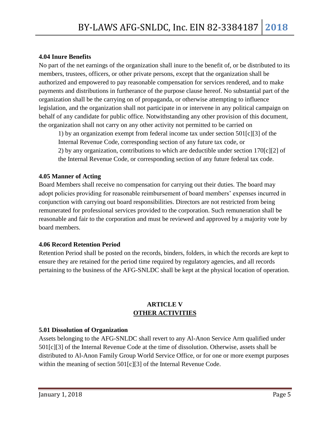### **4.04 Inure Benefits**

No part of the net earnings of the organization shall inure to the benefit of, or be distributed to its members, trustees, officers, or other private persons, except that the organization shall be authorized and empowered to pay reasonable compensation for services rendered, and to make payments and distributions in furtherance of the purpose clause hereof. No substantial part of the organization shall be the carrying on of propaganda, or otherwise attempting to influence legislation, and the organization shall not participate in or intervene in any political campaign on behalf of any candidate for public office. Notwithstanding any other provision of this document, the organization shall not carry on any other activity not permitted to be carried on

1) by an organization exempt from federal income tax under section 501[c][3] of the Internal Revenue Code, corresponding section of any future tax code, or 2) by any organization, contributions to which are deductible under section 170[c][2] of the Internal Revenue Code, or corresponding section of any future federal tax code.

### **4.05 Manner of Acting**

Board Members shall receive no compensation for carrying out their duties. The board may adopt policies providing for reasonable reimbursement of board members' expenses incurred in conjunction with carrying out board responsibilities. Directors are not restricted from being remunerated for professional services provided to the corporation. Such remuneration shall be reasonable and fair to the corporation and must be reviewed and approved by a majority vote by board members.

#### **4.06 Record Retention Period**

Retention Period shall be posted on the records, binders, folders, in which the records are kept to ensure they are retained for the period time required by regulatory agencies, and all records pertaining to the business of the AFG-SNLDC shall be kept at the physical location of operation.

## **ARTICLE V OTHER ACTIVITIES**

#### **5.01 Dissolution of Organization**

Assets belonging to the AFG-SNLDC shall revert to any Al-Anon Service Arm qualified under 501[c][3] of the Internal Revenue Code at the time of dissolution. Otherwise, assets shall be distributed to Al-Anon Family Group World Service Office, or for one or more exempt purposes within the meaning of section 501[c][3] of the Internal Revenue Code.